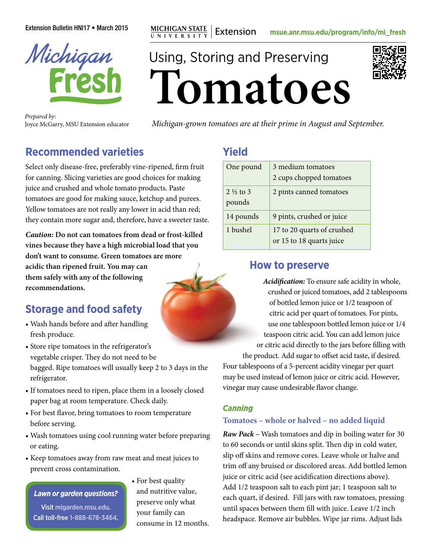Extension Bulletin HNI17 • March 2015 **mg MICHIGAN STATE** | Extension [msue.anr.msu.edu/program/info/mi\\_fresh](http://msue.anr.msu.edu/program/info/mi_fresh)



Joyce McGarry, MSU Extension educator

**Tomatoes**

*Michigan-grown tomatoes are at their prime in August and September. Prepared by:*

# **Recommended varieties**

Select only disease-free, preferably vine-ripened, firm fruit for canning. Slicing varieties are good choices for making juice and crushed and whole tomato products. Paste tomatoes are good for making sauce, ketchup and purees. Yellow tomatoes are not really any lower in acid than red; they contain more sugar and, therefore, have a sweeter taste.

*Caution:* **Do not can tomatoes from dead or frost-killed vines because they have a high microbial load that you don't want to consume. Green tomatoes are more acidic than ripened fruit. You may can them safely with any of the following recommendations.**

# **Storage and food safety**

- Wash hands before and after handling fresh produce.
- Store ripe tomatoes in the refrigerator's vegetable crisper. They do not need to be bagged. Ripe tomatoes will usually keep 2 to 3 days in the refrigerator.
- If tomatoes need to ripen, place them in a loosely closed paper bag at room temperature. Check daily.
- For best flavor, bring tomatoes to room temperature before serving.
- Wash tomatoes using cool running water before preparing or eating.
- Keep tomatoes away from raw meat and meat juices to prevent cross contamination.

*Lawn or garden questions?*

Visit **[migarden.msu.edu](http://migarden.msu.edu)**. Call toll-free **1-888-678-3464**. • For best quality and nutritive value, preserve only what your family can consume in 12 months.

## **Yield**

Using, Storing and Preserving

| One pound                     | 3 medium tomatoes<br>2 cups chopped tomatoes           |
|-------------------------------|--------------------------------------------------------|
| $2\frac{1}{2}$ to 3<br>pounds | 2 pints canned tomatoes                                |
| 14 pounds                     | 9 pints, crushed or juice                              |
| 1 bushel                      | 17 to 20 quarts of crushed<br>or 15 to 18 quarts juice |

### **How to preserve**

*Acidification:* To ensure safe acidity in whole, crushed or juiced tomatoes, add 2 tablespoons of bottled lemon juice or 1/2 teaspoon of citric acid per quart of tomatoes. For pints, use one tablespoon bottled lemon juice or 1/4 teaspoon citric acid. You can add lemon juice or citric acid directly to the jars before filling with the product. Add sugar to offset acid taste, if desired. Four tablespoons of a 5-percent acidity vinegar per quart may be used instead of lemon juice or citric acid. However, vinegar may cause undesirable flavor change.

### *Canning*

### **Tomatoes – whole or halved – no added liquid**

*Raw Pack –* Wash tomatoes and dip in boiling water for 30 to 60 seconds or until skins split. Then dip in cold water, slip off skins and remove cores. Leave whole or halve and trim off any bruised or discolored areas. Add bottled lemon juice or citric acid (see acidification directions above). Add 1/2 teaspoon salt to each pint jar; 1 teaspoon salt to each quart, if desired. Fill jars with raw tomatoes, pressing until spaces between them fill with juice. Leave 1/2 inch headspace. Remove air bubbles. Wipe jar rims. Adjust lids

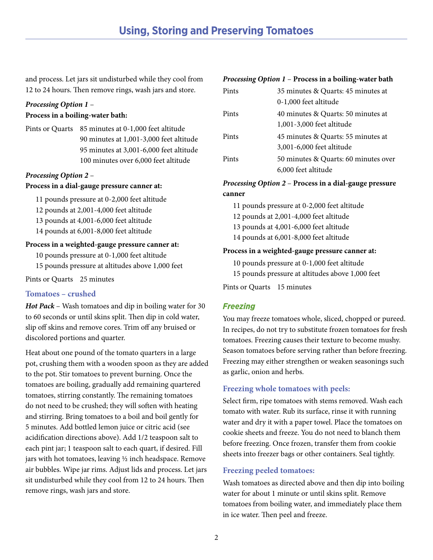and process. Let jars sit undisturbed while they cool from 12 to 24 hours. Then remove rings, wash jars and store.

#### *Processing Option 1* – **Process in a boiling-water bath:**

Pints or Quarts 85 minutes at 0-1,000 feet altitude 90 minutes at 1,001-3,000 feet altitude 95 minutes at 3,001-6,000 feet altitude 100 minutes over 6,000 feet altitude

#### *Processing Option 2* – **Process in a dial-gauge pressure canner at:**

11 pounds pressure at 0-2,000 feet altitude

- 12 pounds at 2,001-4,000 feet altitude
- 13 pounds at 4,001-6,000 feet altitude
- 14 pounds at 6,001-8,000 feet altitude

#### **Process in a weighted-gauge pressure canner at:**

10 pounds pressure at 0-1,000 feet altitude

15 pounds pressure at altitudes above 1,000 feet

Pints or Quarts 25 minutes

#### **Tomatoes – crushed**

*Hot Pack* – Wash tomatoes and dip in boiling water for 30 to 60 seconds or until skins split. Then dip in cold water, slip off skins and remove cores. Trim off any bruised or discolored portions and quarter.

Heat about one pound of the tomato quarters in a large pot, crushing them with a wooden spoon as they are added to the pot. Stir tomatoes to prevent burning. Once the tomatoes are boiling, gradually add remaining quartered tomatoes, stirring constantly. The remaining tomatoes do not need to be crushed; they will soften with heating and stirring. Bring tomatoes to a boil and boil gently for 5 minutes. Add bottled lemon juice or citric acid (see acidification directions above). Add 1/2 teaspoon salt to each pint jar; 1 teaspoon salt to each quart, if desired. Fill jars with hot tomatoes, leaving ½ inch headspace. Remove air bubbles. Wipe jar rims. Adjust lids and process. Let jars sit undisturbed while they cool from 12 to 24 hours. Then remove rings, wash jars and store.

#### *Processing Option 1* – **Process in a boiling-water bath**

| Pints | 35 minutes & Quarts: 45 minutes at   |
|-------|--------------------------------------|
|       | 0-1,000 feet altitude                |
| Pints | 40 minutes & Quarts: 50 minutes at   |
|       | 1,001-3,000 feet altitude            |
| Pints | 45 minutes & Quarts: 55 minutes at   |
|       | 3,001-6,000 feet altitude            |
| Pints | 50 minutes & Quarts: 60 minutes over |
|       | 6,000 feet altitude                  |

#### *Processing Option 2* – **Process in a dial-gauge pressure canner**

11 pounds pressure at 0-2,000 feet altitude 12 pounds at 2,001-4,000 feet altitude 13 pounds at 4,001-6,000 feet altitude 14 pounds at 6,001-8,000 feet altitude

#### **Process in a weighted-gauge pressure canner at:**

10 pounds pressure at 0-1,000 feet altitude 15 pounds pressure at altitudes above 1,000 feet

Pints or Quarts 15 minutes

#### *Freezing*

You may freeze tomatoes whole, sliced, chopped or pureed. In recipes, do not try to substitute frozen tomatoes for fresh tomatoes. Freezing causes their texture to become mushy. Season tomatoes before serving rather than before freezing. Freezing may either strengthen or weaken seasonings such as garlic, onion and herbs.

#### **Freezing whole tomatoes with peels:**

Select firm, ripe tomatoes with stems removed. Wash each tomato with water. Rub its surface, rinse it with running water and dry it with a paper towel. Place the tomatoes on cookie sheets and freeze. You do not need to blanch them before freezing. Once frozen, transfer them from cookie sheets into freezer bags or other containers. Seal tightly.

#### **Freezing peeled tomatoes:**

Wash tomatoes as directed above and then dip into boiling water for about 1 minute or until skins split. Remove tomatoes from boiling water, and immediately place them in ice water. Then peel and freeze.